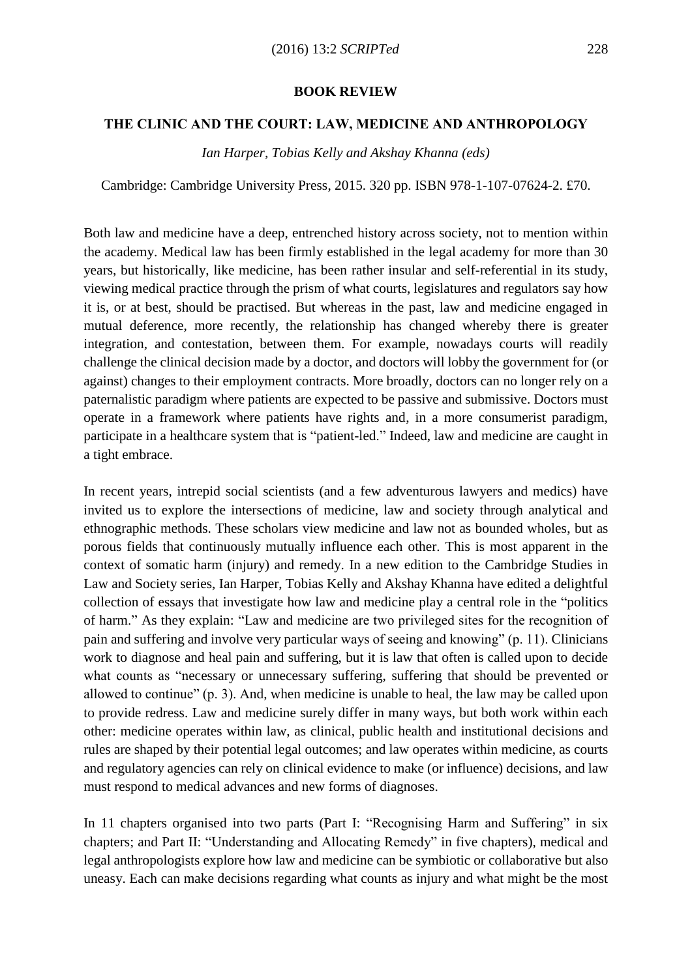## **BOOK REVIEW**

## **THE CLINIC AND THE COURT: LAW, MEDICINE AND ANTHROPOLOGY**

*Ian Harper, Tobias Kelly and Akshay Khanna (eds)*

Cambridge: Cambridge University Press, 2015. 320 pp. ISBN 978-1-107-07624-2. £70.

Both law and medicine have a deep, entrenched history across society, not to mention within the academy. Medical law has been firmly established in the legal academy for more than 30 years, but historically, like medicine, has been rather insular and self-referential in its study, viewing medical practice through the prism of what courts, legislatures and regulators say how it is, or at best, should be practised. But whereas in the past, law and medicine engaged in mutual deference, more recently, the relationship has changed whereby there is greater integration, and contestation, between them. For example, nowadays courts will readily challenge the clinical decision made by a doctor, and doctors will lobby the government for (or against) changes to their employment contracts. More broadly, doctors can no longer rely on a paternalistic paradigm where patients are expected to be passive and submissive. Doctors must operate in a framework where patients have rights and, in a more consumerist paradigm, participate in a healthcare system that is "patient-led." Indeed, law and medicine are caught in a tight embrace.

In recent years, intrepid social scientists (and a few adventurous lawyers and medics) have invited us to explore the intersections of medicine, law and society through analytical and ethnographic methods. These scholars view medicine and law not as bounded wholes, but as porous fields that continuously mutually influence each other. This is most apparent in the context of somatic harm (injury) and remedy. In a new edition to the Cambridge Studies in Law and Society series, Ian Harper, Tobias Kelly and Akshay Khanna have edited a delightful collection of essays that investigate how law and medicine play a central role in the "politics of harm." As they explain: "Law and medicine are two privileged sites for the recognition of pain and suffering and involve very particular ways of seeing and knowing" (p. 11). Clinicians work to diagnose and heal pain and suffering, but it is law that often is called upon to decide what counts as "necessary or unnecessary suffering, suffering that should be prevented or allowed to continue" (p. 3). And, when medicine is unable to heal, the law may be called upon to provide redress. Law and medicine surely differ in many ways, but both work within each other: medicine operates within law, as clinical, public health and institutional decisions and rules are shaped by their potential legal outcomes; and law operates within medicine, as courts and regulatory agencies can rely on clinical evidence to make (or influence) decisions, and law must respond to medical advances and new forms of diagnoses.

In 11 chapters organised into two parts (Part I: "Recognising Harm and Suffering" in six chapters; and Part II: "Understanding and Allocating Remedy" in five chapters), medical and legal anthropologists explore how law and medicine can be symbiotic or collaborative but also uneasy. Each can make decisions regarding what counts as injury and what might be the most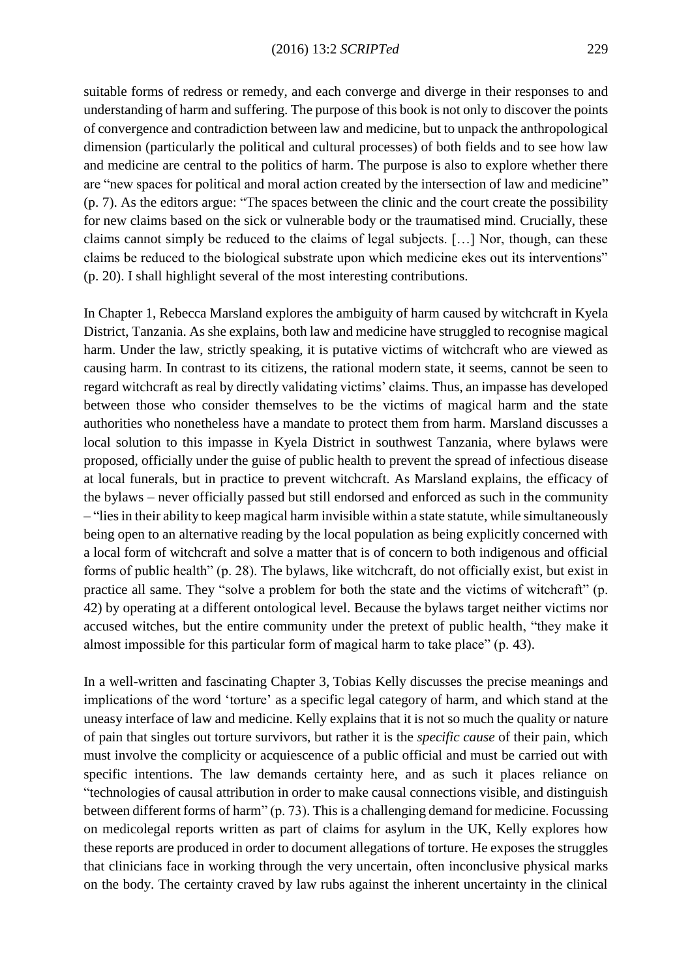suitable forms of redress or remedy, and each converge and diverge in their responses to and understanding of harm and suffering. The purpose of this book is not only to discover the points of convergence and contradiction between law and medicine, but to unpack the anthropological dimension (particularly the political and cultural processes) of both fields and to see how law and medicine are central to the politics of harm. The purpose is also to explore whether there are "new spaces for political and moral action created by the intersection of law and medicine" (p. 7). As the editors argue: "The spaces between the clinic and the court create the possibility for new claims based on the sick or vulnerable body or the traumatised mind. Crucially, these claims cannot simply be reduced to the claims of legal subjects. […] Nor, though, can these claims be reduced to the biological substrate upon which medicine ekes out its interventions" (p. 20). I shall highlight several of the most interesting contributions.

In Chapter 1, Rebecca Marsland explores the ambiguity of harm caused by witchcraft in Kyela District, Tanzania. As she explains, both law and medicine have struggled to recognise magical harm. Under the law, strictly speaking, it is putative victims of witchcraft who are viewed as causing harm. In contrast to its citizens, the rational modern state, it seems, cannot be seen to regard witchcraft as real by directly validating victims' claims. Thus, an impasse has developed between those who consider themselves to be the victims of magical harm and the state authorities who nonetheless have a mandate to protect them from harm. Marsland discusses a local solution to this impasse in Kyela District in southwest Tanzania, where bylaws were proposed, officially under the guise of public health to prevent the spread of infectious disease at local funerals, but in practice to prevent witchcraft. As Marsland explains, the efficacy of the bylaws – never officially passed but still endorsed and enforced as such in the community – "lies in their ability to keep magical harm invisible within a state statute, while simultaneously being open to an alternative reading by the local population as being explicitly concerned with a local form of witchcraft and solve a matter that is of concern to both indigenous and official forms of public health" (p. 28). The bylaws, like witchcraft, do not officially exist, but exist in practice all same. They "solve a problem for both the state and the victims of witchcraft" (p. 42) by operating at a different ontological level. Because the bylaws target neither victims nor accused witches, but the entire community under the pretext of public health, "they make it almost impossible for this particular form of magical harm to take place" (p. 43).

In a well-written and fascinating Chapter 3, Tobias Kelly discusses the precise meanings and implications of the word 'torture' as a specific legal category of harm, and which stand at the uneasy interface of law and medicine. Kelly explains that it is not so much the quality or nature of pain that singles out torture survivors, but rather it is the *specific cause* of their pain, which must involve the complicity or acquiescence of a public official and must be carried out with specific intentions. The law demands certainty here, and as such it places reliance on "technologies of causal attribution in order to make causal connections visible, and distinguish between different forms of harm" (p. 73). This is a challenging demand for medicine. Focussing on medicolegal reports written as part of claims for asylum in the UK, Kelly explores how these reports are produced in order to document allegations of torture. He exposes the struggles that clinicians face in working through the very uncertain, often inconclusive physical marks on the body. The certainty craved by law rubs against the inherent uncertainty in the clinical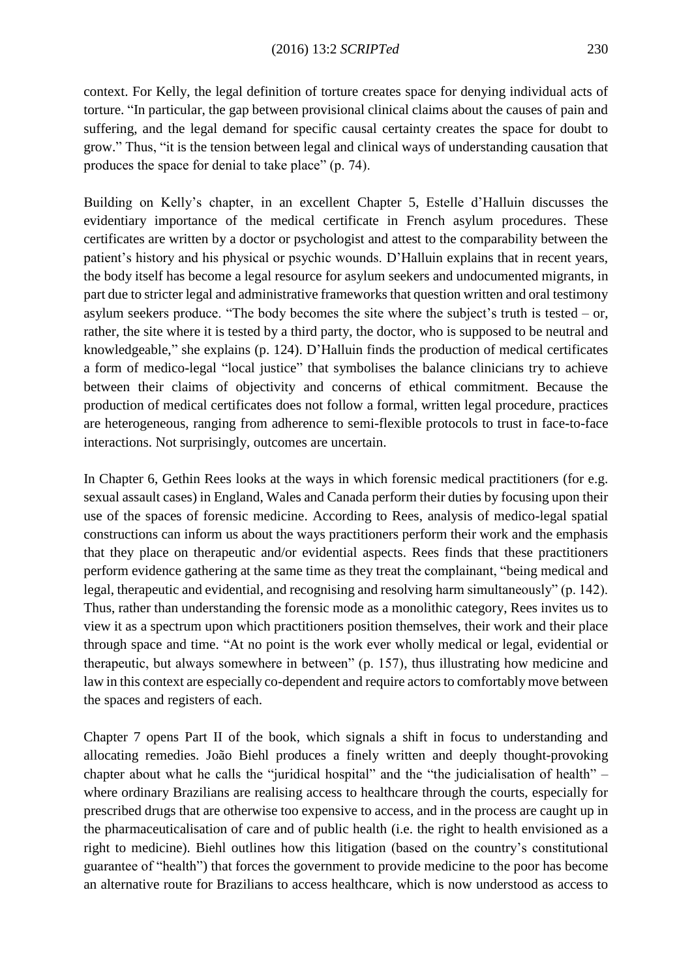context. For Kelly, the legal definition of torture creates space for denying individual acts of torture. "In particular, the gap between provisional clinical claims about the causes of pain and suffering, and the legal demand for specific causal certainty creates the space for doubt to grow." Thus, "it is the tension between legal and clinical ways of understanding causation that produces the space for denial to take place" (p. 74).

Building on Kelly's chapter, in an excellent Chapter 5, Estelle d'Halluin discusses the evidentiary importance of the medical certificate in French asylum procedures. These certificates are written by a doctor or psychologist and attest to the comparability between the patient's history and his physical or psychic wounds. D'Halluin explains that in recent years, the body itself has become a legal resource for asylum seekers and undocumented migrants, in part due to stricter legal and administrative frameworks that question written and oral testimony asylum seekers produce. "The body becomes the site where the subject's truth is tested – or, rather, the site where it is tested by a third party, the doctor, who is supposed to be neutral and knowledgeable," she explains (p. 124). D'Halluin finds the production of medical certificates a form of medico-legal "local justice" that symbolises the balance clinicians try to achieve between their claims of objectivity and concerns of ethical commitment. Because the production of medical certificates does not follow a formal, written legal procedure, practices are heterogeneous, ranging from adherence to semi-flexible protocols to trust in face-to-face interactions. Not surprisingly, outcomes are uncertain.

In Chapter 6, Gethin Rees looks at the ways in which forensic medical practitioners (for e.g. sexual assault cases) in England, Wales and Canada perform their duties by focusing upon their use of the spaces of forensic medicine. According to Rees, analysis of medico-legal spatial constructions can inform us about the ways practitioners perform their work and the emphasis that they place on therapeutic and/or evidential aspects. Rees finds that these practitioners perform evidence gathering at the same time as they treat the complainant, "being medical and legal, therapeutic and evidential, and recognising and resolving harm simultaneously" (p. 142). Thus, rather than understanding the forensic mode as a monolithic category, Rees invites us to view it as a spectrum upon which practitioners position themselves, their work and their place through space and time. "At no point is the work ever wholly medical or legal, evidential or therapeutic, but always somewhere in between" (p. 157), thus illustrating how medicine and law in this context are especially co-dependent and require actors to comfortably move between the spaces and registers of each.

Chapter 7 opens Part II of the book, which signals a shift in focus to understanding and allocating remedies. João Biehl produces a finely written and deeply thought-provoking chapter about what he calls the "juridical hospital" and the "the judicialisation of health" – where ordinary Brazilians are realising access to healthcare through the courts, especially for prescribed drugs that are otherwise too expensive to access, and in the process are caught up in the pharmaceuticalisation of care and of public health (i.e. the right to health envisioned as a right to medicine). Biehl outlines how this litigation (based on the country's constitutional guarantee of "health") that forces the government to provide medicine to the poor has become an alternative route for Brazilians to access healthcare, which is now understood as access to